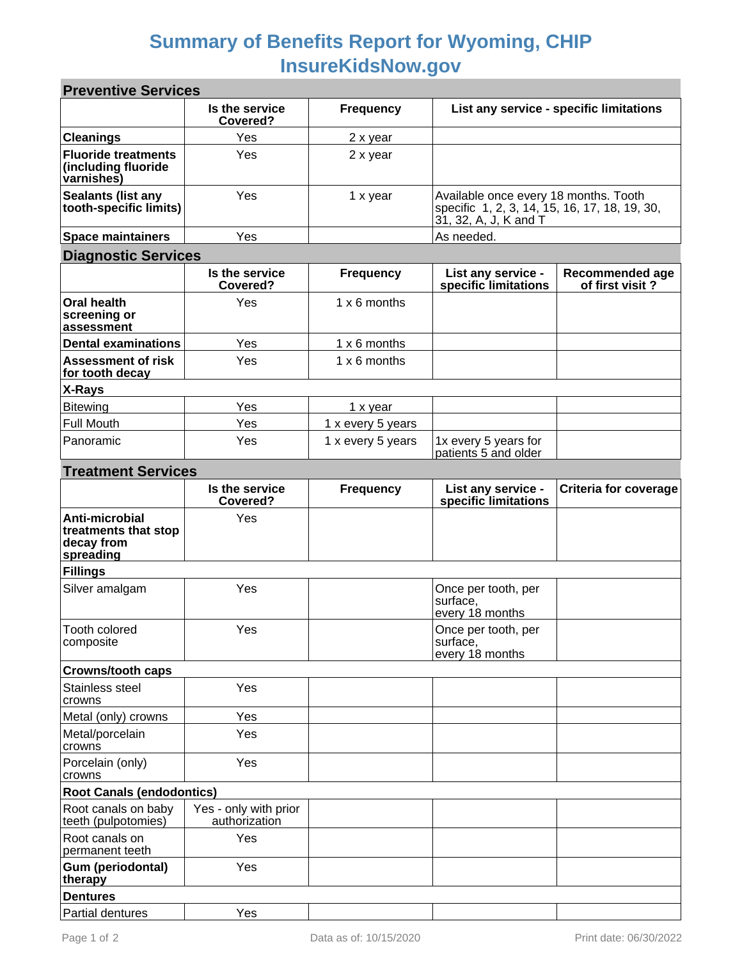## **Summary of Benefits Report for Wyoming, CHIP InsureKidsNow.gov**

| <b>Preventive Services</b>                                        |                                        |                   |                                                                                                                 |                                    |  |  |
|-------------------------------------------------------------------|----------------------------------------|-------------------|-----------------------------------------------------------------------------------------------------------------|------------------------------------|--|--|
|                                                                   | Is the service<br>Covered?             | <b>Frequency</b>  | List any service - specific limitations                                                                         |                                    |  |  |
| <b>Cleanings</b>                                                  | Yes                                    | 2 x year          |                                                                                                                 |                                    |  |  |
| <b>Fluoride treatments</b><br>(including fluoride<br>varnishes)   | Yes                                    | 2 x year          |                                                                                                                 |                                    |  |  |
| <b>Sealants (list any</b><br>tooth-specific limits)               | Yes                                    | 1 x year          | Available once every 18 months. Tooth<br>specific 1, 2, 3, 14, 15, 16, 17, 18, 19, 30,<br>31, 32, A, J, K and T |                                    |  |  |
| <b>Space maintainers</b>                                          | Yes                                    |                   | As needed.                                                                                                      |                                    |  |  |
| <b>Diagnostic Services</b>                                        |                                        |                   |                                                                                                                 |                                    |  |  |
|                                                                   | Is the service<br>Covered?             | <b>Frequency</b>  | List any service -<br>specific limitations                                                                      | Recommended age<br>of first visit? |  |  |
| <b>Oral health</b><br>screening or<br>assessment                  | Yes                                    | 1 x 6 months      |                                                                                                                 |                                    |  |  |
| <b>Dental examinations</b>                                        | Yes                                    | 1 x 6 months      |                                                                                                                 |                                    |  |  |
| <b>Assessment of risk</b><br>for tooth decay                      | Yes                                    | 1 x 6 months      |                                                                                                                 |                                    |  |  |
| X-Rays                                                            |                                        |                   |                                                                                                                 |                                    |  |  |
| <b>Bitewing</b>                                                   | Yes                                    | 1 x year          |                                                                                                                 |                                    |  |  |
| <b>Full Mouth</b>                                                 | Yes                                    | 1 x every 5 years |                                                                                                                 |                                    |  |  |
| Panoramic                                                         | Yes                                    | 1 x every 5 years | 1x every 5 years for<br>patients 5 and older                                                                    |                                    |  |  |
| <b>Treatment Services</b>                                         |                                        |                   |                                                                                                                 |                                    |  |  |
|                                                                   | Is the service<br>Covered?             | <b>Frequency</b>  | List any service -<br>specific limitations                                                                      | <b>Criteria for coverage</b>       |  |  |
| Anti-microbial<br>treatments that stop<br>decay from<br>spreading | Yes                                    |                   |                                                                                                                 |                                    |  |  |
| <b>Fillings</b>                                                   |                                        |                   |                                                                                                                 |                                    |  |  |
| Silver amalgam                                                    | Yes                                    |                   | Once per tooth, per<br>surface,<br>every 18 months                                                              |                                    |  |  |
| Tooth colored<br>composite                                        | Yes                                    |                   | Once per tooth, per<br>surface,<br>every 18 months                                                              |                                    |  |  |
| <b>Crowns/tooth caps</b>                                          |                                        |                   |                                                                                                                 |                                    |  |  |
| Stainless steel<br>crowns                                         | Yes                                    |                   |                                                                                                                 |                                    |  |  |
| Metal (only) crowns                                               | Yes                                    |                   |                                                                                                                 |                                    |  |  |
| Metal/porcelain<br>crowns                                         | Yes                                    |                   |                                                                                                                 |                                    |  |  |
| Porcelain (only)<br>crowns                                        | Yes                                    |                   |                                                                                                                 |                                    |  |  |
| <b>Root Canals (endodontics)</b>                                  |                                        |                   |                                                                                                                 |                                    |  |  |
| Root canals on baby<br>teeth (pulpotomies)                        | Yes - only with prior<br>authorization |                   |                                                                                                                 |                                    |  |  |
| Root canals on<br>permanent teeth                                 | Yes                                    |                   |                                                                                                                 |                                    |  |  |
| Gum (periodontal)<br>therapy                                      | Yes                                    |                   |                                                                                                                 |                                    |  |  |
| <b>Dentures</b>                                                   |                                        |                   |                                                                                                                 |                                    |  |  |
| Partial dentures                                                  | Yes                                    |                   |                                                                                                                 |                                    |  |  |